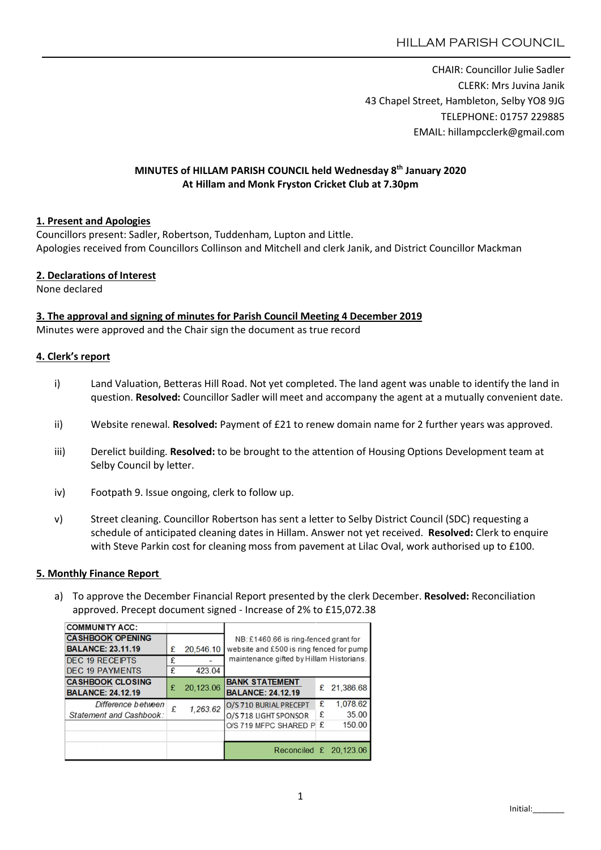CHAIR: Councillor Julie Sadler CLERK: Mrs Juvina Janik 43 Chapel Street, Hambleton, Selby YO8 9JG TELEPHONE: 01757 229885 EMAIL: hillampcclerk@gmail.com

### MINUTES of HILLAM PARISH COUNCIL held Wednesday 8th January 2020 At Hillam and Monk Fryston Cricket Club at 7.30pm

### 1. Present and Apologies

Councillors present: Sadler, Robertson, Tuddenham, Lupton and Little. Apologies received from Councillors Collinson and Mitchell and clerk Janik, and District Councillor Mackman

### 2. Declarations of Interest

None declared

#### 3. The approval and signing of minutes for Parish Council Meeting 4 December 2019

Minutes were approved and the Chair sign the document as true record

### 4. Clerk's report

- i) Land Valuation, Betteras Hill Road. Not yet completed. The land agent was unable to identify the land in question. Resolved: Councillor Sadler will meet and accompany the agent at a mutually convenient date.
- ii) Website renewal. Resolved: Payment of £21 to renew domain name for 2 further years was approved.
- iii) Derelict building. Resolved: to be brought to the attention of Housing Options Development team at Selby Council by letter.
- iv) Footpath 9. Issue ongoing, clerk to follow up.
- v) Street cleaning. Councillor Robertson has sent a letter to Selby District Council (SDC) requesting a schedule of anticipated cleaning dates in Hillam. Answer not yet received. Resolved: Clerk to enquire with Steve Parkin cost for cleaning moss from pavement at Lilac Oval, work authorised up to £100.

#### 5. Monthly Finance Report

a) To approve the December Financial Report presented by the clerk December. Resolved: Reconciliation approved. Precept document signed - Increase of 2% to £15,072.38

| <b>COMMUNITY ACC:</b>    |   |           |                                                                                      |   |           |  |  |
|--------------------------|---|-----------|--------------------------------------------------------------------------------------|---|-----------|--|--|
| <b>CASHBOOK OPENING</b>  |   |           | NB: £1460.66 is ring-fenced grant for                                                |   |           |  |  |
| <b>BALANCE: 23.11.19</b> | £ | 20,546.10 | website and £500 is ring fenced for pump<br>maintenance gifted by Hillam Historians. |   |           |  |  |
| <b>DEC 19 RECEIPTS</b>   | £ |           |                                                                                      |   |           |  |  |
| <b>DEC 19 PAYMENTS</b>   | £ | 423.04    |                                                                                      |   |           |  |  |
| <b>CASHBOOK CLOSING</b>  | £ |           | <b>BANK STATEMENT</b>                                                                |   |           |  |  |
| <b>BALANCE: 24.12.19</b> |   | 20,123.06 | <b>BALANCE: 24.12.19</b>                                                             | £ | 21,386.68 |  |  |
| Difference between       | £ | 1,263.62  | O/S 710 BURIAL PRECEPT                                                               | £ | 1.078.62  |  |  |
| Statement and Cashbook:  |   |           | O/S 718 LIGHT SPONSOR                                                                | £ | 35.00     |  |  |
|                          |   |           | O/S 719 MFPC SHARED P                                                                | £ | 150.00    |  |  |
|                          |   |           |                                                                                      |   |           |  |  |
|                          |   |           | Reconciled $£$ 20,123.06                                                             |   |           |  |  |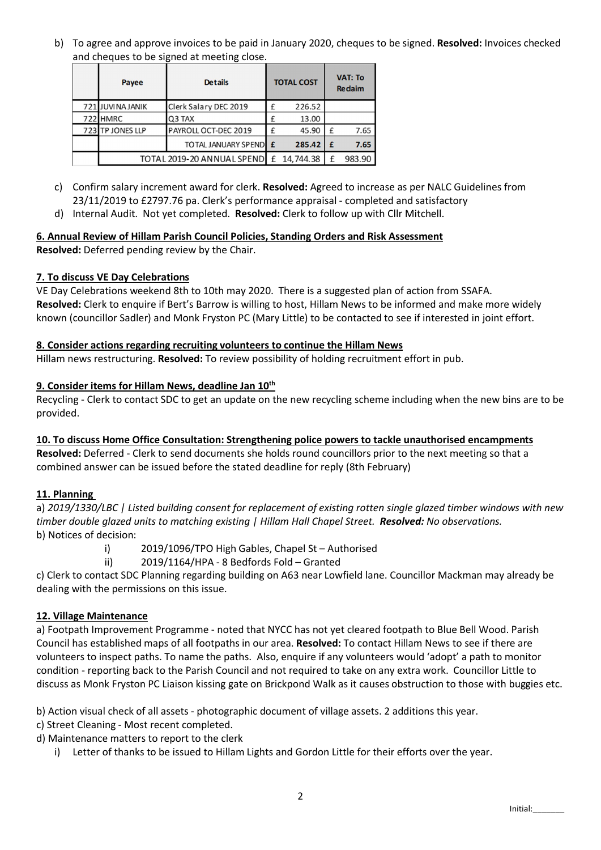b) To agree and approve invoices to be paid in January 2020, cheques to be signed. Resolved: Invoices checked and cheques to be signed at meeting close.

| Payee                      | <b>Details</b>        |   | <b>TOTAL COST</b> | <b>VAT: To</b><br><b>Redaim</b> |        |
|----------------------------|-----------------------|---|-------------------|---------------------------------|--------|
| 721 JUVINA JANIK           | Clerk Salary DEC 2019 | £ | 226.52            |                                 |        |
| 722 HMRC                   | Q3 TAX                | £ | 13.00             |                                 |        |
| 723 TP JONES LLP           | PAYROLL OCT-DEC 2019  | £ | 45.90             | £                               | 7.65   |
|                            | TOTAL JANUARY SPENDEE |   | 285.42            | £                               | 7.65   |
| TOTAL 2019-20 ANNUAL SPEND |                       |   | £ 14,744.38       | f                               | 983.90 |

- c) Confirm salary increment award for clerk. Resolved: Agreed to increase as per NALC Guidelines from 23/11/2019 to £2797.76 pa. Clerk's performance appraisal - completed and satisfactory
- d) Internal Audit. Not yet completed. Resolved: Clerk to follow up with Cllr Mitchell.

# 6. Annual Review of Hillam Parish Council Policies, Standing Orders and Risk Assessment

Resolved: Deferred pending review by the Chair.

## 7. To discuss VE Day Celebrations

VE Day Celebrations weekend 8th to 10th may 2020. There is a suggested plan of action from SSAFA. Resolved: Clerk to enquire if Bert's Barrow is willing to host, Hillam News to be informed and make more widely known (councillor Sadler) and Monk Fryston PC (Mary Little) to be contacted to see if interested in joint effort.

### 8. Consider actions regarding recruiting volunteers to continue the Hillam News

Hillam news restructuring. Resolved: To review possibility of holding recruitment effort in pub.

### 9. Consider items for Hillam News, deadline Jan 10<sup>th</sup>

Recycling - Clerk to contact SDC to get an update on the new recycling scheme including when the new bins are to be provided.

## 10. To discuss Home Office Consultation: Strengthening police powers to tackle unauthorised encampments

Resolved: Deferred - Clerk to send documents she holds round councillors prior to the next meeting so that a combined answer can be issued before the stated deadline for reply (8th February)

## 11. Planning

a) *2019/1330/LBC | Listed building consent for replacement of existing rotten single glazed timber windows with new timber double glazed units to matching existing | Hillam Hall Chapel Street. Resolved: No observations.* b) Notices of decision:

- i) 2019/1096/TPO High Gables, Chapel St Authorised
- ii) 2019/1164/HPA 8 Bedfords Fold Granted

c) Clerk to contact SDC Planning regarding building on A63 near Lowfield lane. Councillor Mackman may already be dealing with the permissions on this issue.

## 12. Village Maintenance

a) Footpath Improvement Programme - noted that NYCC has not yet cleared footpath to Blue Bell Wood. Parish Council has established maps of all footpaths in our area. Resolved: To contact Hillam News to see if there are volunteers to inspect paths. To name the paths. Also, enquire if any volunteers would 'adopt' a path to monitor condition - reporting back to the Parish Council and not required to take on any extra work. Councillor Little to discuss as Monk Fryston PC Liaison kissing gate on Brickpond Walk as it causes obstruction to those with buggies etc.

b) Action visual check of all assets - photographic document of village assets. 2 additions this year.

- c) Street Cleaning Most recent completed.
- d) Maintenance matters to report to the clerk
	- i) Letter of thanks to be issued to Hillam Lights and Gordon Little for their efforts over the year.